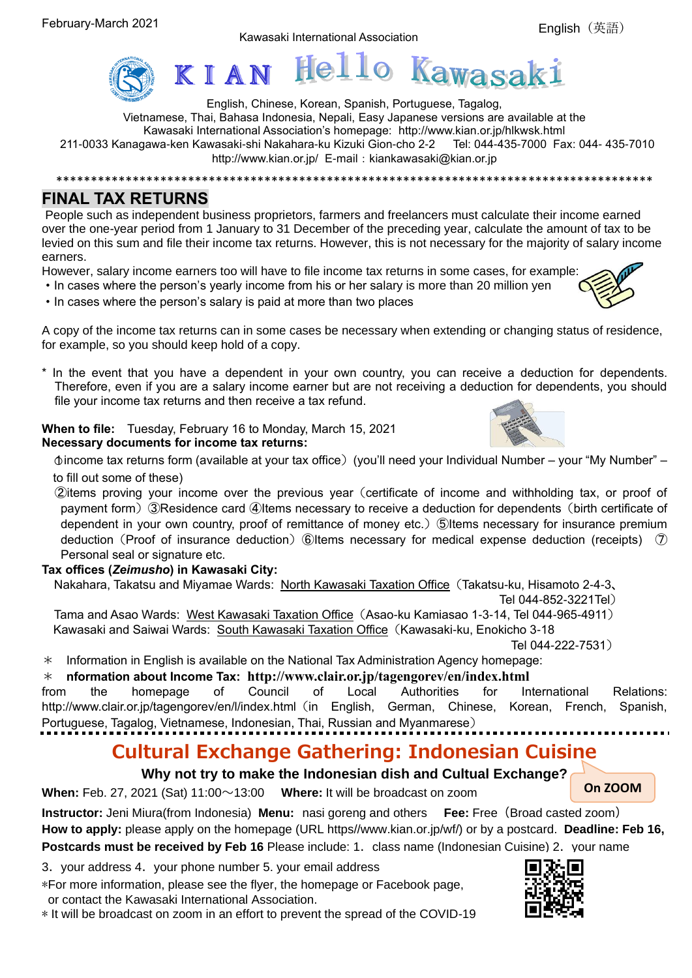Kawasaki International Association



English, Chinese, Korean, Spanish, Portuguese, Tagalog, Vietnamese, Thai, Bahasa Indonesia, Nepali, Easy Japanese versions are available at the Kawasaki International Association's homepage: <http://www.kian.or.jp/hlkwsk.html> 211-0033 Kanagawa-ken Kawasaki-shi Nakahara-ku Kizuki Gion-cho 2-2 Tel: 044-435-7000 Fax: 044- 435-7010 <http://www.kian.or.jp/> E-mail: kiankawasaki@kian.or.jp

### **FINAL TAX RETURNS**

People such as independent business proprietors, farmers and freelancers must calculate their income earned over the one-year period from 1 January to 31 December of the preceding year, calculate the amount of tax to be levied on this sum and file their income tax returns. However, this is not necessary for the majority of salary income earners.

\*\*\*\*\*\*\*\*\*\*\*\*\*\*\*\*\*\*\*\*\*\*\*\*\*\*\*\*\*\*\*\*\*\*\*\*\*\*\*\*\*\*\*\*\*\*\*\*\*\*\*\*\*\*\*\*\*\*\*\*\*\*\*\*\*\*\*\*\*\*\*\*\*\*\*\*\*\*\*\*\*\*\*\*\*\*

However, salary income earners too will have to file income tax returns in some cases, for example:

- ・In cases where the person's yearly income from his or her salary is more than 20 million yen
- ・In cases where the person's salary is paid at more than two places

A copy of the income tax returns can in some cases be necessary when extending or changing status of residence, for example, so you should keep hold of a copy.

\* In the event that you have a dependent in your own country, you can receive a deduction for dependents. Therefore, even if you are a salary income earner but are not receiving a deduction for dependents, you should file your income tax returns and then receive a tax refund.

**When to file:** Tuesday, February 16 to Monday, March 15, 2021 **Necessary documents for income tax returns:**

 $\phi$  income tax returns form (available at your tax office) (you'll need your Individual Number – your "My Number" – to fill out some of these)

②items proving your income over the previous year(certificate of income and withholding tax, or proof of payment form) ③Residence card ④Items necessary to receive a deduction for dependents (birth certificate of dependent in your own country, proof of remittance of money etc.)⑤Items necessary for insurance premium deduction (Proof of insurance deduction) ⑥Items necessary for medical expense deduction (receipts) ⑦ Personal seal or signature etc.

### **Tax offices (***Zeimusho***) in Kawasaki City:**

Nakahara, Takatsu and Miyamae Wards: North Kawasaki Taxation Office(Takatsu-ku, Hisamoto 2-4-3、

Tel 044-852-3221Tel)

Tama and Asao Wards: West Kawasaki Taxation Office (Asao-ku Kamiasao 1-3-14, Tel 044-965-4911) Kawasaki and Saiwai Wards: South Kawasaki Taxation Office(Kawasaki-ku, Enokicho 3-18

Tel 044-222-7531)

 $*$  Information in English is available on the National Tax Administration Agency homepage:

### \* **nformation about Income Tax: http://www.clair.or.jp/tagengorev/en/index.html**

from the homepage of Council of Local Authorities for International Relations: http://www.clair.or.jp/tagengorev/en/l/index.html (in English, German, Chinese, Korean, French, Spanish, Portuguese, Tagalog, Vietnamese, Indonesian, Thai, Russian and Myanmarese)

## **Cultural Exchange Gathering: Indonesian Cuisine**

**Why not try to make the Indonesian dish and Cultual Exchange?**

**When:** Feb. 27, 2021 (Sat) 11:00~13:00 **Where:** It will be broadcast on zoom

**Instructor:** Jeni Miura(from Indonesia) **Menu:** nasi goreng and others **Fee:** Free(Broad casted zoom) **How to apply:** please apply on the homepage (URL https//www.kian.or.jp/wf/) or by a postcard. **Deadline: Feb 16, Postcards must be received by Feb 16** Please include: 1. class name (Indonesian Cuisine) 2. your name

3.your address 4.your phone number 5. your email address

\*For more information, please see the flyer, the homepage or Facebook page, or contact the Kawasaki International Association.

\* It will be broadcast on zoom in an effort to prevent the spread of the COVID-19







**On ZOOM**